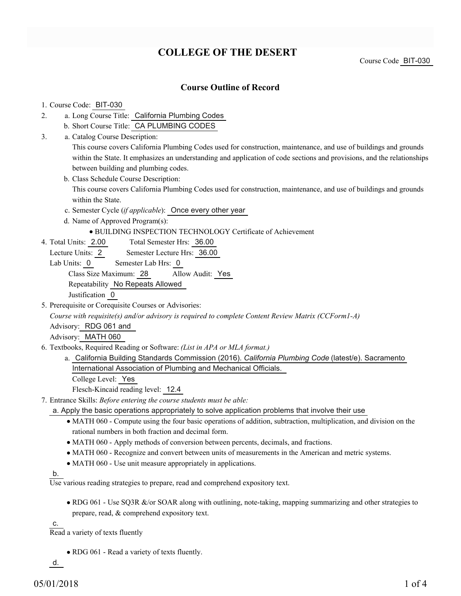# **COLLEGE OF THE DESERT**

Course Code BIT-030

### **Course Outline of Record**

#### 1. Course Code: BIT-030

- a. Long Course Title: California Plumbing Codes 2.
	- b. Short Course Title: CA PLUMBING CODES
- Catalog Course Description: a. 3.

This course covers California Plumbing Codes used for construction, maintenance, and use of buildings and grounds within the State. It emphasizes an understanding and application of code sections and provisions, and the relationships between building and plumbing codes.

b. Class Schedule Course Description:

This course covers California Plumbing Codes used for construction, maintenance, and use of buildings and grounds within the State.

- c. Semester Cycle (*if applicable*): Once every other year
- d. Name of Approved Program(s):
	- BUILDING INSPECTION TECHNOLOGY Certificate of Achievement
- Total Semester Hrs: 36.00 4. Total Units: 2.00
	- Lecture Units: 2 Semester Lecture Hrs: 36.00
	- Lab Units: 0 Semester Lab Hrs: 0

Class Size Maximum: 28 Allow Audit: Yes

Repeatability No Repeats Allowed

Justification 0

5. Prerequisite or Corequisite Courses or Advisories:

*Course with requisite(s) and/or advisory is required to complete Content Review Matrix (CCForm1-A)*

Advisory: RDG 061 and

Advisory: MATH 060

- Textbooks, Required Reading or Software: *(List in APA or MLA format.)* 6.
	- a. California Building Standards Commission (2016). *California Plumbing Code* (latest/e). Sacramento International Association of Plumbing and Mechanical Officials.

College Level: Yes

Flesch-Kincaid reading level: 12.4

- Entrance Skills: *Before entering the course students must be able:* 7.
	- a. Apply the basic operations appropriately to solve application problems that involve their use
		- MATH 060 Compute using the four basic operations of addition, subtraction, multiplication, and division on the rational numbers in both fraction and decimal form.
		- MATH 060 Apply methods of conversion between percents, decimals, and fractions.
		- MATH 060 Recognize and convert between units of measurements in the American and metric systems.
		- MATH 060 Use unit measure appropriately in applications.

b.

Use various reading strategies to prepare, read and comprehend expository text.

• RDG 061 - Use SQ3R &/or SOAR along with outlining, note-taking, mapping summarizing and other strategies to prepare, read, & comprehend expository text.

c.

Read a variety of texts fluently

• RDG 061 - Read a variety of texts fluently.

d.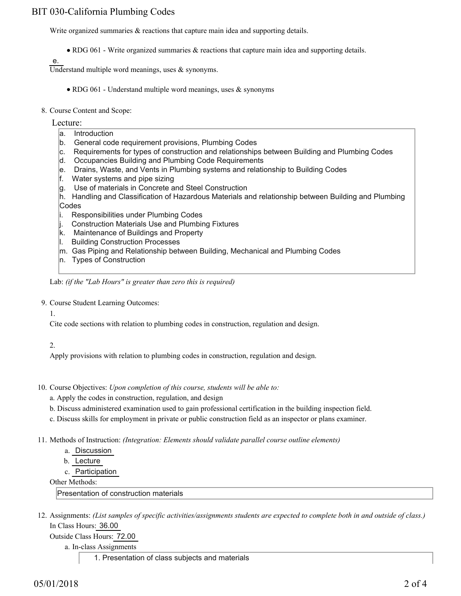# BIT 030-California Plumbing Codes

Write organized summaries  $\&$  reactions that capture main idea and supporting details.

RDG 061 - Write organized summaries & reactions that capture main idea and supporting details.

e.

Understand multiple word meanings, uses  $\&$  synonyms.

- RDG 061 Understand multiple word meanings, uses  $\&$  synonyms
- 8. Course Content and Scope:
	- Lecture:
		- a. Introduction
		- b. General code requirement provisions, Plumbing Codes
		- c. Requirements for types of construction and relationships between Building and Plumbing Codes
		- d. Occupancies Building and Plumbing Code Requirements
		- e. Drains, Waste, and Vents in Plumbing systems and relationship to Building Codes
		- f. Water systems and pipe sizing
		- g. Use of materials in Concrete and Steel Construction
		- h. Handling and Classification of Hazardous Materials and relationship between Building and Plumbing Codes
		- i. Responsibilities under Plumbing Codes
		- j. Construction Materials Use and Plumbing Fixtures
		- k. Maintenance of Buildings and Property
		- l. Building Construction Processes
		- m. Gas Piping and Relationship between Building, Mechanical and Plumbing Codes
		- n. Types of Construction

Lab: *(if the "Lab Hours" is greater than zero this is required)*

9. Course Student Learning Outcomes:

1.

Cite code sections with relation to plumbing codes in construction, regulation and design.

2.

Apply provisions with relation to plumbing codes in construction, regulation and design.

- 10. Course Objectives: Upon completion of this course, students will be able to:
	- a. Apply the codes in construction, regulation, and design
	- b. Discuss administered examination used to gain professional certification in the building inspection field.
	- c. Discuss skills for employment in private or public construction field as an inspector or plans examiner.
- Methods of Instruction: *(Integration: Elements should validate parallel course outline elements)* 11.
	- a. Discussion
	- b. Lecture
	- c. Participation

Other Methods:

Presentation of construction materials

12. Assignments: (List samples of specific activities/assignments students are expected to complete both in and outside of class.) In Class Hours: 36.00

Outside Class Hours: 72.00

a. In-class Assignments

1. Presentation of class subjects and materials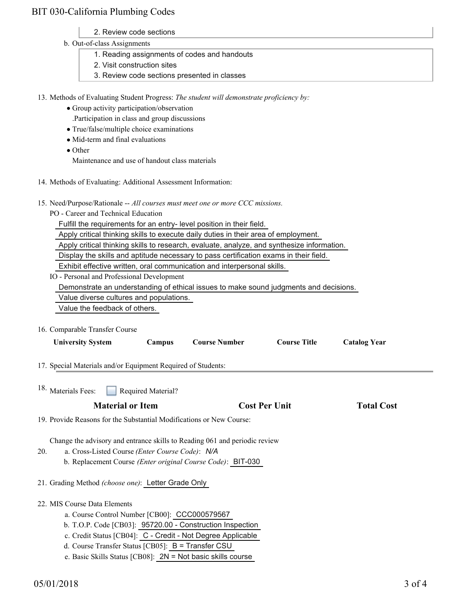# BIT 030-California Plumbing Codes

- 2. Review code sections
- b. Out-of-class Assignments
	- 1. Reading assignments of codes and handouts
	- 2. Visit construction sites
	- 3. Review code sections presented in classes

13. Methods of Evaluating Student Progress: The student will demonstrate proficiency by:

- Group activity participation/observation
	- .Participation in class and group discussions
- True/false/multiple choice examinations
- Mid-term and final evaluations
- Other

Maintenance and use of handout class materials

- 14. Methods of Evaluating: Additional Assessment Information:
- 15. Need/Purpose/Rationale -- All courses must meet one or more CCC missions.
	- PO Career and Technical Education

Fulfill the requirements for an entry- level position in their field.

Apply critical thinking skills to execute daily duties in their area of employment.

Apply critical thinking skills to research, evaluate, analyze, and synthesize information.

Display the skills and aptitude necessary to pass certification exams in their field.

Exhibit effective written, oral communication and interpersonal skills.

IO - Personal and Professional Development

Demonstrate an understanding of ethical issues to make sound judgments and decisions.

Value diverse cultures and populations.

Value the feedback of others.

16. Comparable Transfer Course

| <b>University System</b>                                                                                                                                                                                                                                  | Campus             | <b>Course Number</b>                                        | <b>Course Title</b>  | <b>Catalog Year</b> |  |
|-----------------------------------------------------------------------------------------------------------------------------------------------------------------------------------------------------------------------------------------------------------|--------------------|-------------------------------------------------------------|----------------------|---------------------|--|
| 17. Special Materials and/or Equipment Required of Students:                                                                                                                                                                                              |                    |                                                             |                      |                     |  |
| <sup>18.</sup> Materials Fees:                                                                                                                                                                                                                            | Required Material? |                                                             |                      |                     |  |
| <b>Material or Item</b>                                                                                                                                                                                                                                   |                    |                                                             | <b>Cost Per Unit</b> |                     |  |
| 19. Provide Reasons for the Substantial Modifications or New Course:                                                                                                                                                                                      |                    |                                                             |                      |                     |  |
| Change the advisory and entrance skills to Reading 061 and periodic review<br>a. Cross-Listed Course (Enter Course Code): N/A<br>20.<br>b. Replacement Course (Enter original Course Code): BIT-030<br>21. Grading Method (choose one): Letter Grade Only |                    |                                                             |                      |                     |  |
| 22. MIS Course Data Elements                                                                                                                                                                                                                              |                    |                                                             |                      |                     |  |
| a. Course Control Number [CB00]: CCC000579567                                                                                                                                                                                                             |                    |                                                             |                      |                     |  |
|                                                                                                                                                                                                                                                           |                    | b. T.O.P. Code [CB03]: 95720.00 - Construction Inspection   |                      |                     |  |
|                                                                                                                                                                                                                                                           |                    | c. Credit Status [CB04]: C - Credit - Not Degree Applicable |                      |                     |  |
| d. Course Transfer Status [CB05]: B = Transfer CSU                                                                                                                                                                                                        |                    |                                                             |                      |                     |  |
| e. Basic Skills Status [CB08]: $2N = Not basic skills course$                                                                                                                                                                                             |                    |                                                             |                      |                     |  |